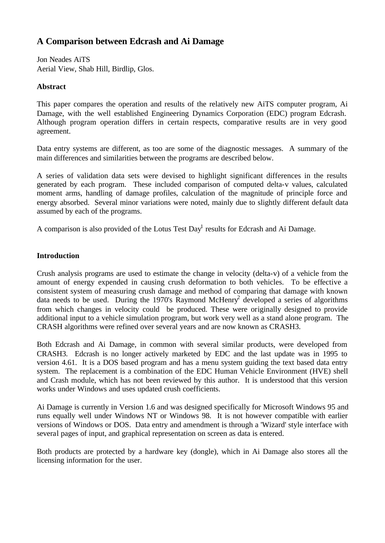# **A Comparison between Edcrash and Ai Damage**

Jon Neades AiTS Aerial View, Shab Hill, Birdlip, Glos.

### **Abstract**

This paper compares the operation and results of the relatively new AiTS computer program, Ai Damage, with the well established Engineering Dynamics Corporation (EDC) program Edcrash. Although program operation differs in certain respects, comparative results are in very good agreement.

Data entry systems are different, as too are some of the diagnostic messages. A summary of the main differences and similarities between the programs are described below.

A series of validation data sets were devised to highlight significant differences in the results generated by each program. These included comparison of computed delta-v values, calculated moment arms, handling of damage profiles, calculation of the magnitude of principle force and energy absorbed. Several minor variations were noted, mainly due to slightly different default data assumed by each of the programs.

A comparison is also provided of the Lotus Test Day<sup>1</sup> results for Edcrash and Ai Damage.

### **Introduction**

Crush analysis programs are used to estimate the change in velocity (delta-v) of a vehicle from the amount of energy expended in causing crush deformation to both vehicles. To be effective a consistent system of measuring crush damage and method of comparing that damage with known data needs to be used. During the 1970's Raymond McHenry<sup>2</sup> developed a series of algorithms from which changes in velocity could be produced. These were originally designed to provide additional input to a vehicle simulation program, but work very well as a stand alone program. The CRASH algorithms were refined over several years and are now known as CRASH3.

Both Edcrash and Ai Damage, in common with several similar products, were developed from CRASH3. Edcrash is no longer actively marketed by EDC and the last update was in 1995 to version 4.61. It is a DOS based program and has a menu system guiding the text based data entry system. The replacement is a combination of the EDC Human Vehicle Environment (HVE) shell and Crash module, which has not been reviewed by this author. It is understood that this version works under Windows and uses updated crush coefficients.

Ai Damage is currently in Version 1.6 and was designed specifically for Microsoft Windows 95 and runs equally well under Windows NT or Windows 98. It is not however compatible with earlier versions of Windows or DOS. Data entry and amendment is through a 'Wizard' style interface with several pages of input, and graphical representation on screen as data is entered.

Both products are protected by a hardware key (dongle), which in Ai Damage also stores all the licensing information for the user.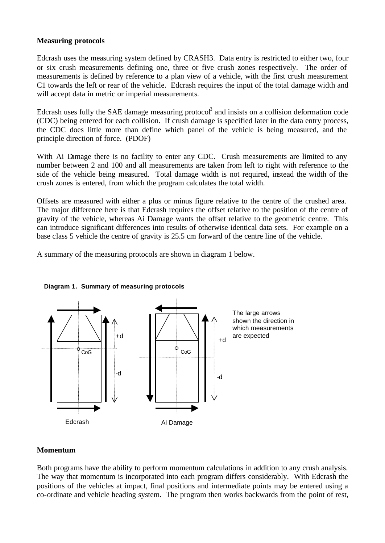### **Measuring protocols**

Edcrash uses the measuring system defined by CRASH3. Data entry is restricted to either two, four or six crush measurements defining one, three or five crush zones respectively. The order of measurements is defined by reference to a plan view of a vehicle, with the first crush measurement C1 towards the left or rear of the vehicle. Edcrash requires the input of the total damage width and will accept data in metric or imperial measurements.

Edcrash uses fully the SAE damage measuring protocol<sup>3</sup> and insists on a collision deformation code (CDC) being entered for each collision. If crush damage is specified later in the data entry process, the CDC does little more than define which panel of the vehicle is being measured, and the principle direction of force. (PDOF)

With Ai Damage there is no facility to enter any CDC. Crush measurements are limited to any number between 2 and 100 and all measurements are taken from left to right with reference to the side of the vehicle being measured. Total damage width is not required, instead the width of the crush zones is entered, from which the program calculates the total width.

Offsets are measured with either a plus or minus figure relative to the centre of the crushed area. The major difference here is that Edcrash requires the offset relative to the position of the centre of gravity of the vehicle, whereas Ai Damage wants the offset relative to the geometric centre. This can introduce significant differences into results of otherwise identical data sets. For example on a base class 5 vehicle the centre of gravity is 25.5 cm forward of the centre line of the vehicle.

A summary of the measuring protocols are shown in diagram 1 below.



#### **Diagram 1. Summary of measuring protocols**

### **Momentum**

Both programs have the ability to perform momentum calculations in addition to any crush analysis. The way that momentum is incorporated into each program differs considerably. With Edcrash the positions of the vehicles at impact, final positions and intermediate points may be entered using a co-ordinate and vehicle heading system. The program then works backwards from the point of rest,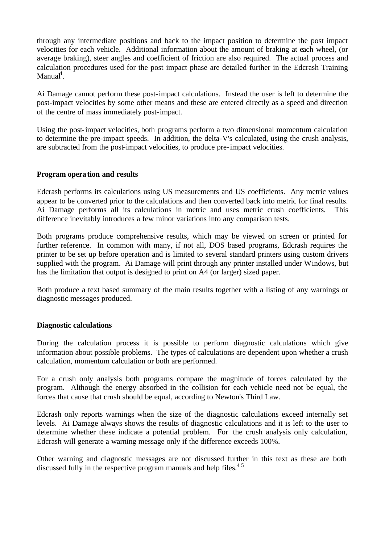through any intermediate positions and back to the impact position to determine the post impact velocities for each vehicle. Additional information about the amount of braking at each wheel, (or average braking), steer angles and coefficient of friction are also required. The actual process and calculation procedures used for the post impact phase are detailed further in the Edcrash Training  $M$ anual $\hbox{}^4.$ 

Ai Damage cannot perform these post-impact calculations. Instead the user is left to determine the post-impact velocities by some other means and these are entered directly as a speed and direction of the centre of mass immediately post-impact.

Using the post-impact velocities, both programs perform a two dimensional momentum calculation to determine the pre-impact speeds. In addition, the delta-V's calculated, using the crush analysis, are subtracted from the post-impact velocities, to produce pre-impact velocities.

#### **Program operation and results**

Edcrash performs its calculations using US measurements and US coefficients. Any metric values appear to be converted prior to the calculations and then converted back into metric for final results. Ai Damage performs all its calculations in metric and uses metric crush coefficients. This difference inevitably introduces a few minor variations into any comparison tests.

Both programs produce comprehensive results, which may be viewed on screen or printed for further reference. In common with many, if not all, DOS based programs, Edcrash requires the printer to be set up before operation and is limited to several standard printers using custom drivers supplied with the program. Ai Damage will print through any printer installed under Windows, but has the limitation that output is designed to print on A4 (or larger) sized paper.

Both produce a text based summary of the main results together with a listing of any warnings or diagnostic messages produced.

### **Diagnostic calculations**

During the calculation process it is possible to perform diagnostic calculations which give information about possible problems. The types of calculations are dependent upon whether a crush calculation, momentum calculation or both are performed.

For a crush only analysis both programs compare the magnitude of forces calculated by the program. Although the energy absorbed in the collision for each vehicle need not be equal, the forces that cause that crush should be equal, according to Newton's Third Law.

Edcrash only reports warnings when the size of the diagnostic calculations exceed internally set levels. Ai Damage always shows the results of diagnostic calculations and it is left to the user to determine whether these indicate a potential problem. For the crush analysis only calculation, Edcrash will generate a warning message only if the difference exceeds 100%.

Other warning and diagnostic messages are not discussed further in this text as these are both discussed fully in the respective program manuals and help files.<sup>45</sup>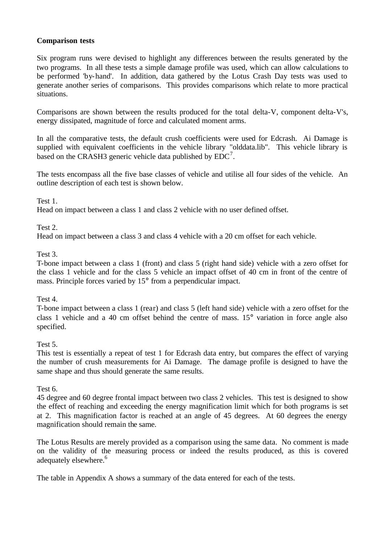### **Comparison tests**

Six program runs were devised to highlight any differences between the results generated by the two programs. In all these tests a simple damage profile was used, which can allow calculations to be performed 'by-hand'. In addition, data gathered by the Lotus Crash Day tests was used to generate another series of comparisons. This provides comparisons which relate to more practical situations.

Comparisons are shown between the results produced for the total delta-V, component delta-V's, energy dissipated, magnitude of force and calculated moment arms.

In all the comparative tests, the default crush coefficients were used for Edcrash. Ai Damage is supplied with equivalent coefficients in the vehicle library "olddata.lib". This vehicle library is based on the CRASH3 generic vehicle data published by  $EDC<sup>7</sup>$ .

The tests encompass all the five base classes of vehicle and utilise all four sides of the vehicle. An outline description of each test is shown below.

Test 1.

Head on impact between a class 1 and class 2 vehicle with no user defined offset.

### Test 2.

Head on impact between a class 3 and class 4 vehicle with a 20 cm offset for each vehicle.

### Test 3.

T-bone impact between a class 1 (front) and class 5 (right hand side) vehicle with a zero offset for the class 1 vehicle and for the class 5 vehicle an impact offset of 40 cm in front of the centre of mass. Principle forces varied by 15° from a perpendicular impact.

#### Test 4.

T-bone impact between a class 1 (rear) and class 5 (left hand side) vehicle with a zero offset for the class 1 vehicle and a 40 cm offset behind the centre of mass. 15° variation in force angle also specified.

#### Test 5.

This test is essentially a repeat of test 1 for Edcrash data entry, but compares the effect of varying the number of crush measurements for Ai Damage. The damage profile is designed to have the same shape and thus should generate the same results.

#### Test 6.

45 degree and 60 degree frontal impact between two class 2 vehicles. This test is designed to show the effect of reaching and exceeding the energy magnification limit which for both programs is set at 2. This magnification factor is reached at an angle of 45 degrees. At 60 degrees the energy magnification should remain the same.

The Lotus Results are merely provided as a comparison using the same data. No comment is made on the validity of the measuring process or indeed the results produced, as this is covered adequately elsewhere.<sup>6</sup>

The table in Appendix A shows a summary of the data entered for each of the tests.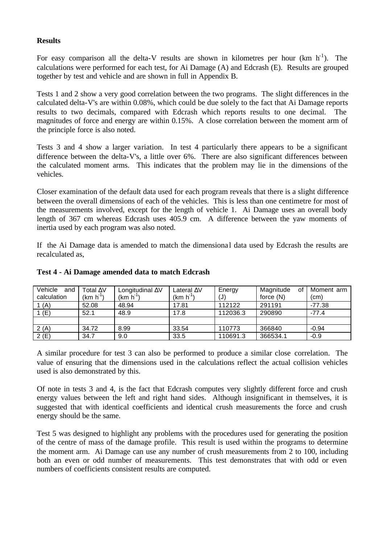### **Results**

For easy comparison all the delta-V results are shown in kilometres per hour  $(km h<sup>-1</sup>)$ . The calculations were performed for each test, for Ai Damage (A) and Edcrash (E). Results are grouped together by test and vehicle and are shown in full in Appendix B.

Tests 1 and 2 show a very good correlation between the two programs. The slight differences in the calculated delta-V's are within 0.08%, which could be due solely to the fact that Ai Damage reports results to two decimals, compared with Edcrash which reports results to one decimal. The magnitudes of force and energy are within 0.15%. A close correlation between the moment arm of the principle force is also noted.

Tests 3 and 4 show a larger variation. In test 4 particularly there appears to be a significant difference between the delta-V's, a little over 6%. There are also significant differences between the calculated moment arms. This indicates that the problem may lie in the dimensions of the vehicles.

Closer examination of the default data used for each program reveals that there is a slight difference between the overall dimensions of each of the vehicles. This is less than one centimetre for most of the measurements involved, except for the length of vehicle 1. Ai Damage uses an overall body length of 367 cm whereas Edcrash uses 405.9 cm. A difference between the yaw moments of inertia used by each program was also noted.

If the Ai Damage data is amended to match the dimensional data used by Edcrash the results are recalculated as,

| Vehicle<br>and | Total AV                     | Longitudinal AV | Lateral $\Delta V$ | Energy   | Magnitude<br>οt | Moment arm |
|----------------|------------------------------|-----------------|--------------------|----------|-----------------|------------|
| calculation    | (km $\mathsf{h}^{\text{-}1}$ | (km h)          | (km h)             | (J)      | force (N)       | (cm)       |
| 1(A)           | 52.08                        | 48.94           | 17.81              | 112122   | 291191          | -77.38     |
| (E)            | 52.1                         | 48.9            | 17.8               | 112036.3 | 290890          | $-77.4$    |
|                |                              |                 |                    |          |                 |            |
| 2(A)           | 34.72                        | 8.99            | 33.54              | 110773   | 366840          | $-0.94$    |
| 2(E)           | 34.7                         | 9.0             | 33.5               | 110691.3 | 366534.1        | $-0.9$     |

#### **Test 4 - Ai Damage amended data to match Edcrash**

A similar procedure for test 3 can also be performed to produce a similar close correlation. The value of ensuring that the dimensions used in the calculations reflect the actual collision vehicles used is also demonstrated by this.

Of note in tests 3 and 4, is the fact that Edcrash computes very slightly different force and crush energy values between the left and right hand sides. Although insignificant in themselves, it is suggested that with identical coefficients and identical crush measurements the force and crush energy should be the same.

Test 5 was designed to highlight any problems with the procedures used for generating the position of the centre of mass of the damage profile. This result is used within the programs to determine the moment arm. Ai Damage can use any number of crush measurements from 2 to 100, including both an even or odd number of measurements. This test demonstrates that with odd or even numbers of coefficients consistent results are computed.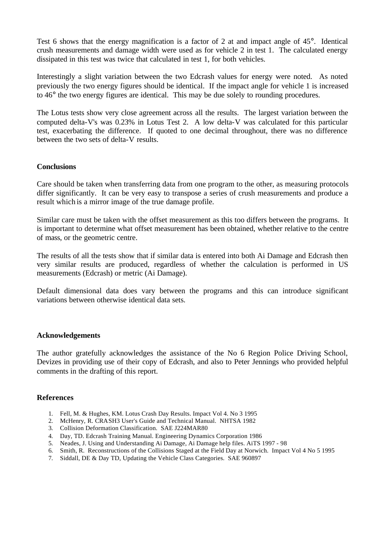Test 6 shows that the energy magnification is a factor of 2 at and impact angle of  $45^\circ$ . Identical crush measurements and damage width were used as for vehicle 2 in test 1. The calculated energy dissipated in this test was twice that calculated in test 1, for both vehicles.

Interestingly a slight variation between the two Edcrash values for energy were noted. As noted previously the two energy figures should be identical. If the impact angle for vehicle 1 is increased to 46° the two energy figures are identical. This may be due solely to rounding procedures.

The Lotus tests show very close agreement across all the results. The largest variation between the computed delta-V's was 0.23% in Lotus Test 2. A low delta-V was calculated for this particular test, exacerbating the difference. If quoted to one decimal throughout, there was no difference between the two sets of delta-V results.

#### **Conclusions**

Care should be taken when transferring data from one program to the other, as measuring protocols differ significantly. It can be very easy to transpose a series of crush measurements and produce a result which is a mirror image of the true damage profile.

Similar care must be taken with the offset measurement as this too differs between the programs. It is important to determine what offset measurement has been obtained, whether relative to the centre of mass, or the geometric centre.

The results of all the tests show that if similar data is entered into both Ai Damage and Edcrash then very similar results are produced, regardless of whether the calculation is performed in US measurements (Edcrash) or metric (Ai Damage).

Default dimensional data does vary between the programs and this can introduce significant variations between otherwise identical data sets.

#### **Acknowledgements**

The author gratefully acknowledges the assistance of the No 6 Region Police Driving School, Devizes in providing use of their copy of Edcrash, and also to Peter Jennings who provided helpful comments in the drafting of this report.

#### **References**

- 1. Fell, M. & Hughes, KM. Lotus Crash Day Results. Impact Vol 4. No 3 1995
- 2. McHenry, R. CRASH3 User's Guide and Technical Manual. NHTSA 1982
- 3. Collision Deformation Classification. SAE J224MAR80
- 4. Day, TD. Edcrash Training Manual. Engineering Dynamics Corporation 1986
- 5. Neades, J. Using and Understanding Ai Damage, Ai Damage help files. AiTS 1997 98
- 6. Smith, R. Reconstructions of the Collisions Staged at the Field Day at Norwich. Impact Vol 4 No 5 1995
- 7. Siddall, DE & Day TD, Updating the Vehicle Class Categories. SAE 960897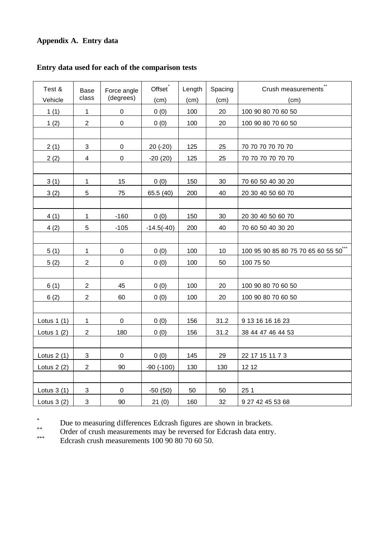# **Appendix A. Entry data**

| Test &       | Base                      | Force angle         | $Offset^*$     | Length | Spacing | Crush measurements                |
|--------------|---------------------------|---------------------|----------------|--------|---------|-----------------------------------|
| Vehicle      | class                     | (degrees)           | (cm)           | (cm)   | (cm)    | (cm)                              |
| 1(1)         | 1                         | $\mathbf 0$         | 0(0)           | 100    | 20      | 100 90 80 70 60 50                |
| 1(2)         | $\overline{2}$            | $\mathbf 0$         | 0(0)           | 100    | 20      | 100 90 80 70 60 50                |
|              |                           |                     |                |        |         |                                   |
| 2(1)         | $\ensuremath{\mathsf{3}}$ | $\pmb{0}$           | $20(-20)$      | 125    | 25      | 70 70 70 70 70 70                 |
| 2(2)         | $\overline{\mathbf{4}}$   | $\mathsf{O}\xspace$ | $-20(20)$      | 125    | 25      | 70 70 70 70 70 70                 |
|              |                           |                     |                |        |         |                                   |
| 3(1)         | $\mathbf{1}$              | 15                  | 0(0)           | 150    | 30      | 70 60 50 40 30 20                 |
| 3(2)         | 5                         | 75                  | 65.5 (40)      | 200    | 40      | 20 30 40 50 60 70                 |
|              |                           |                     |                |        |         |                                   |
| 4(1)         | $\mathbf{1}$              | $-160$              | 0(0)           | 150    | 30      | 20 30 40 50 60 70                 |
| 4(2)         | 5                         | $-105$              | $-14.5(-40)$   | 200    | 40      | 70 60 50 40 30 20                 |
|              |                           |                     |                |        |         |                                   |
| 5(1)         | $\mathbf{1}$              | $\pmb{0}$           | 0(0)           | 100    | 10      | 100 95 90 85 80 75 70 65 60 55 50 |
| 5(2)         | $\overline{c}$            | $\mathbf 0$         | 0(0)           | 100    | 50      | 100 75 50                         |
|              |                           |                     |                |        |         |                                   |
| 6(1)         | $\overline{c}$            | 45                  | 0(0)           | 100    | 20      | 100 90 80 70 60 50                |
| 6(2)         | $\overline{c}$            | 60                  | 0(0)           | 100    | 20      | 100 90 80 70 60 50                |
|              |                           |                     |                |        |         |                                   |
| Lotus $1(1)$ | 1                         | $\mathbf 0$         | 0(0)           | 156    | 31.2    | 9 13 16 16 16 23                  |
| Lotus $1(2)$ | $\overline{2}$            | 180                 | 0(0)           | 156    | 31.2    | 38 44 47 46 44 53                 |
|              |                           |                     |                |        |         |                                   |
| Lotus $2(1)$ | $\mathbf{3}$              | $\mathbf 0$         | 0(0)           | 145    | 29      | 22 17 15 11 7 3                   |
| Lotus $2(2)$ | $\boldsymbol{2}$          | 90                  | $-90$ $(-100)$ | 130    | 130     | 12 12                             |
|              |                           |                     |                |        |         |                                   |
| Lotus $3(1)$ | $\ensuremath{\mathsf{3}}$ | $\mathbf 0$         | $-50(50)$      | 50     | 50      | 25 1                              |
| Lotus $3(2)$ | $\ensuremath{\mathsf{3}}$ | 90                  | 21(0)          | 160    | 32      | 9 27 42 45 53 68                  |

### **Entry data used for each of the comparison tests**

\* Due to measuring differences Edcrash figures are shown in brackets.

\*\* Order of crush measurements may be reversed for Edcrash data entry.

\*\*\* Edcrash crush measurements 100 90 80 70 60 50.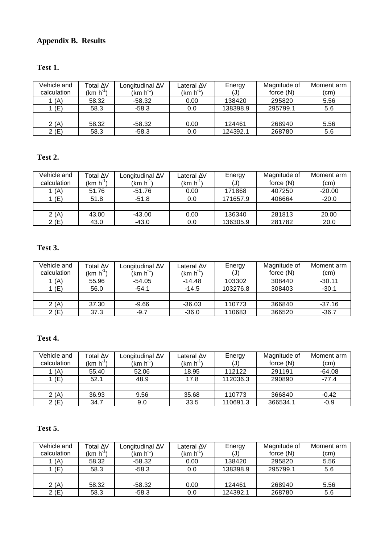# **Appendix B. Results**

# **Test 1.**

| Vehicle and<br>calculation | Total $\Delta\mathsf{V}$<br>(km h $\tilde{\mathsf{h}}$ | Longitudinal $\Delta V$<br>(km h ˈ | Lateral $\Delta V$<br>$(km h-1)$ | Energy<br>(J) | Magnitude of<br>force (N) | Moment arm<br>(cm) |
|----------------------------|--------------------------------------------------------|------------------------------------|----------------------------------|---------------|---------------------------|--------------------|
| 1 (A)                      | 58.32                                                  | $-58.32$                           | 0.00                             | 138420        | 295820                    | 5.56               |
| (E)                        | 58.3                                                   | $-58.3$                            | 0.0                              | 138398.9      | 295799.1                  | 5.6                |
|                            |                                                        |                                    |                                  |               |                           |                    |
| 2(A)                       | 58.32                                                  | $-58.32$                           | 0.00                             | 124461        | 268940                    | 5.56               |
| 2(E)                       | 58.3                                                   | $-58.3$                            | 0.0                              | 124392.1      | 268780                    | 5.6                |

# **Test 2.**

| Vehicle and<br>calculation | Total ∆V<br>(km $\mathsf{h}^{\text{-}1}$ | Longitudinal $\Delta V$<br>$(km h-1)$ | Lateral ∆V<br>$(km h-1)$ | Energy<br>(J) | Magnitude of<br>force (N) | Moment arm<br>(cm) |
|----------------------------|------------------------------------------|---------------------------------------|--------------------------|---------------|---------------------------|--------------------|
| 1 (A)                      | 51.76                                    | $-51.76$                              | 0.00                     | 171868        | 407250                    | $-20.00$           |
| 1 (E)                      | 51.8                                     | -51.8                                 | 0.0                      | 171657.9      | 406664                    | $-20.0$            |
|                            |                                          |                                       |                          |               |                           |                    |
| 2(A)                       | 43.00                                    | $-43.00$                              | 0.00                     | 136340        | 281813                    | 20.00              |
| 2(E)                       | 43.0                                     | $-43.0$                               | 0.0                      | 136305.9      | 281782                    | 20.0               |

# **Test 3.**

| Vehicle and<br>calculation | Total ∆V<br>(km h¯' | Longitudinal $\Delta V$<br>(km h ˈ | Lateral ∆V<br>(km h $^{\text{-}1}$ | Energy<br>(J) | Magnitude of<br>force (N) | Moment arm<br>(cm) |
|----------------------------|---------------------|------------------------------------|------------------------------------|---------------|---------------------------|--------------------|
| 1 (A)                      | 55.96               | $-54.05$                           | $-14.48$                           | 103302        | 308440                    | $-30.11$           |
| (E)                        | 56.0                | $-54.1$                            | $-14.5$                            | 103276.8      | 308403                    | $-30.1$            |
|                            |                     |                                    |                                    |               |                           |                    |
| 2(A)                       | 37.30               | -9.66                              | $-36.03$                           | 110773        | 366840                    | $-37.16$           |
| 2(E)                       | 37.3                | $-9.7$                             | $-36.0$                            | 110683        | 366520                    | $-36.7$            |

# **Test 4.**

| Vehicle and<br>calculation | Total ∆V<br>(km $\mathsf{h}^{\text{-}1}$ | Longitudinal $\Delta V$<br>(km $\mathsf{h}^{\text{-}1}$ | Lateral ∆V<br>(km $\mathsf{h}^{\text{-}1}$ | Energy<br>(J) | Magnitude of<br>force (N) | Moment arm<br>(cm) |
|----------------------------|------------------------------------------|---------------------------------------------------------|--------------------------------------------|---------------|---------------------------|--------------------|
| 1 (A)                      | 55.40                                    | 52.06                                                   | 18.95                                      | 112122        | 291191                    | $-64.08$           |
| 1 (E)                      | 52.1                                     | 48.9                                                    | 17.8                                       | 112036.3      | 290890                    | $-77.4$            |
|                            |                                          |                                                         |                                            |               |                           |                    |
| 2(A)                       | 36.93                                    | 9.56                                                    | 35.68                                      | 110773        | 366840                    | $-0.42$            |
| 2(E)                       | 34.7                                     | 9.0                                                     | 33.5                                       | 110691.3      | 366534.1                  | $-0.9$             |

# **Test 5.**

| Vehicle and<br>calculation | Total $\Delta$ V<br>(km h¯' | Longitudinal $\Delta V$<br>(km h ˈ | Lateral ∆V<br>$(km h-1)$ | Energy<br>(J) | Magnitude of<br>force (N) | Moment arm<br>(cm) |
|----------------------------|-----------------------------|------------------------------------|--------------------------|---------------|---------------------------|--------------------|
| 1 (A)                      | 58.32                       | $-58.32$                           | 0.00                     | 138420        | 295820                    | 5.56               |
| (E)                        | 58.3                        | $-58.3$                            | 0.0                      | 138398.9      | 295799.1                  | 5.6                |
|                            |                             |                                    |                          |               |                           |                    |
| 2(A)                       | 58.32                       | $-58.32$                           | 0.00                     | 124461        | 268940                    | 5.56               |
| 2(E)                       | 58.3                        | $-58.3$                            | 0.0                      | 124392.1      | 268780                    | 5.6                |